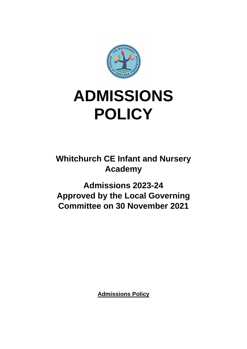

# **ADMISSIONS POLICY**

**Whitchurch CE Infant and Nursery Academy** 

**Admissions 2023-24 Approved by the Local Governing Committee on 30 November 2021**

**Admissions Policy**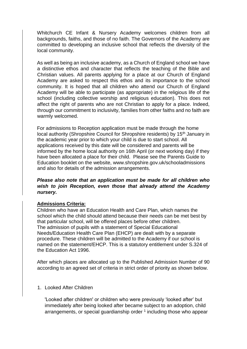Whitchurch CE Infant & Nursery Academy welcomes children from all backgrounds, faiths, and those of no faith. The Governors of the Academy are committed to developing an inclusive school that reflects the diversity of the local community.

As well as being an inclusive academy, as a Church of England school we have a distinctive ethos and character that reflects the teaching of the Bible and Christian values. All parents applying for a place at our Church of England Academy are asked to respect this ethos and its importance to the school community. It is hoped that all children who attend our Church of England Academy will be able to participate (as appropriate) in the religious life of the school (including collective worship and religious education). This does not affect the right of parents who are not Christian to apply for a place. Indeed, through our commitment to inclusivity, families from other faiths and no faith are warmly welcomed.

For admissions to Reception application must be made through the home local authority (Shropshire Council for Shropshire residents) by 15th January in the academic year prior to which your child is due to start school. All applications received by this date will be considered and parents will be informed by the home local authority on 16th April (or next working day) if they have been allocated a place for their child. Please see the Parents Guide to Education booklet on the website, www.shropshire.gov.uk/schooladmissions and also for details of the admission arrangements.

*Please also note that an application must be made for all children who wish to join Reception, even those that already attend the Academy nursery.* 

## **Admissions Criteria:**

Children who have an Education Health and Care Plan, which names the school which the child should attend because their needs can be met best by that particular school, will be offered places before other children. The admission of pupils with a statement of Special Educational Needs/Education Health Care Plan (EHCP) are dealt with by a separate procedure. These children will be admitted to the Academy if our school is named on the statement/EHCP. This is a statutory entitlement under S.324 of the Education Act 1996.

After which places are allocated up to the Published Admission Number of 90 according to an agreed set of criteria in strict order of priority as shown below.

#### 1. Looked After Children

'Looked after children' or children who were previously 'looked after' but immediately after being looked after became subject to an adoption, child arrangements, or special guardianship order  $1$  including those who appear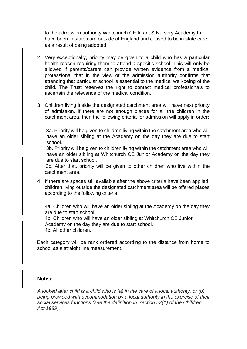to the admission authority Whitchurch CE Infant & Nursery Academy to have been in state care outside of England and ceased to be in state care as a result of being adopted.

- 2. Very exceptionally, priority may be given to a child who has a particular health reason requiring them to attend a specific school. This will only be allowed if parents/carers can provide written evidence from a medical professional that in the view of the admission authority confirms that attending that particular school is essential to the medical well-being of the child. The Trust reserves the right to contact medical professionals to ascertain the relevance of the medical condition.
- 3. Children living inside the designated catchment area will have next priority of admission. If there are not enough places for all the children in the catchment area, then the following criteria for admission will apply in order:

3a. Priority will be given to children living within the catchment area who will have an older sibling at the Academy on the day they are due to start school.

3b. Priority will be given to children living within the catchment area who will have an older sibling at Whitchurch CE Junior Academy on the day they are due to start school.

3c. After that, priority will be given to other children who live within the catchment area.

4. If there are spaces still available after the above criteria have been applied, children living outside the designated catchment area will be offered places according to the following criteria:

4a. Children who will have an older sibling at the Academy on the day they are due to start school.

4b. Children who will have an older sibling at Whitchurch CE Junior Academy on the day they are due to start school. 4c. All other children.

Each category will be rank ordered according to the distance from home to school as a straight line measurement.

#### **Notes:**

*A looked after child is a child who is (a) in the care of a local authority, or (b) being provided with accommodation by a local authority in the exercise of their social services functions (see the definition in Section 22(1) of the Children Act 1989).*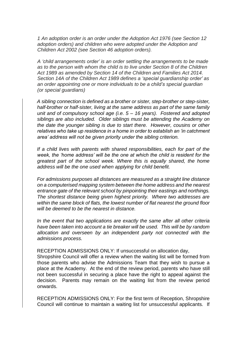*1 An adoption order is an order under the Adoption Act 1976 (see Section 12 adoption orders) and children who were adopted under the Adoption and Children Act 2002 (see Section 46 adoption orders).*

*A 'child arrangements order' is an order settling the arrangements to be made as to the person with whom the child is to live under Section 8 of the Children Act 1989 as amended by Section 14 of the Children and Families Act 2014. Section 14A of the Children Act 1989 defines a 'special guardianship order' as an order appointing one or more individuals to be a child's special guardian (or special guardians)*

*A sibling connection is defined as a brother or sister, step-brother or step-sister, half-brother or half-sister, living at the same address as part of the same family unit and of compulsory school age (i.e. 5 – 16 years). Fostered and adopted siblings are also included. Older siblings must be attending the Academy on the date the younger sibling is due to start there. However, cousins or other relatives who take up residence in a home in order to establish an 'in catchment area' address will not be given priority under the sibling criterion.* 

*If a child lives with parents with shared responsibilities, each for part of the week, the 'home address' will be the one at which the child is resident for the greatest part of the school week. Where this is equally shared, the home address will be the one used when applying for child benefit.* 

*For admissions purposes all distances are measured as a straight line distance on a computerised mapping system between the home address and the nearest entrance gate of the relevant school by pinpointing their eastings and northings. The shortest distance being given highest priority. Where two addresses are within the same block of flats, the lowest number of flat nearest the ground floor will be deemed to be the nearest in distance.* 

*In the event that two applications are exactly the same after all other criteria have been taken into account a tie breaker will be used. This will be by random allocation and overseen by an independent party not connected with the admissions process.* 

RECEPTION ADMISSIONS ONLY: If unsuccessful on allocation day,

Shropshire Council will offer a review when the waiting list will be formed from those parents who advise the Admissions Team that they wish to pursue a place at the Academy. At the end of the review period, parents who have still not been successful in securing a place have the right to appeal against the decision. Parents may remain on the waiting list from the review period onwards.

RECEPTION ADMISSIONS ONLY: For the first term of Reception, Shropshire Council will continue to maintain a waiting list for unsuccessful applicants. If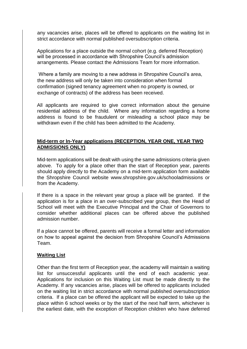any vacancies arise, places will be offered to applicants on the waiting list in strict accordance with normal published oversubscription criteria.

Applications for a place outside the normal cohort (e.g. deferred Reception) will be processed in accordance with Shropshire Council's admission arrangements. Please contact the Admissions Team for more information.

Where a family are moving to a new address in Shropshire Council's area, the new address will only be taken into consideration when formal confirmation (signed tenancy agreement when no property is owned, or exchange of contracts) of the address has been received.

All applicants are required to give correct information about the genuine residential address of the child. Where any information regarding a home address is found to be fraudulent or misleading a school place may be withdrawn even if the child has been admitted to the Academy.

# **Mid-term or In-Year applications (RECEPTION, YEAR ONE, YEAR TWO ADMISSIONS ONLY)**

Mid-term applications will be dealt with using the same admissions criteria given above. To apply for a place other than the start of Reception year, parents should apply directly to the Academy on a mid-term application form available the Shropshire Council website www.shropshire.gov.uk/schooladmissions or from the Academy.

If there is a space in the relevant year group a place will be granted. If the application is for a place in an over-subscribed year group, then the Head of School will meet with the Executive Principal and the Chair of Governors to consider whether additional places can be offered above the published admission number.

If a place cannot be offered, parents will receive a formal letter and information on how to appeal against the decision from Shropshire Council's Admissions Team.

## **Waiting List**

Other than the first term of Reception year, the academy will maintain a waiting list for unsuccessful applicants until the end of each academic year. Applications for inclusion on this Waiting List must be made directly to the Academy. If any vacancies arise, places will be offered to applicants included on the waiting list in strict accordance with normal published oversubscription criteria. If a place can be offered the applicant will be expected to take up the place within 6 school weeks or by the start of the next half term, whichever is the earliest date, with the exception of Reception children who have deferred